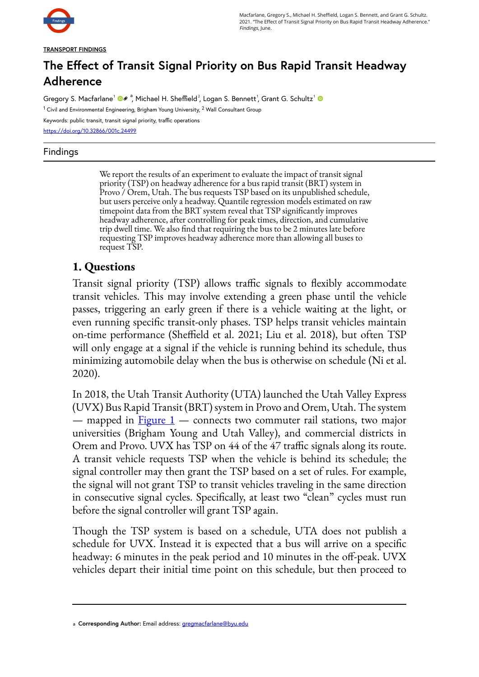

Macfarlane, Gregory S., Michael H. Sheffield, Logan S. Bennett, and Grant G. Schultz. 2021. "The Effect of Transit Signal Priority on Bus Rapid Transit Headway Adherence." Findings, June.

**TRANSPORT FINDINGS** 

# **The Effect of Transit Signal Priority on Bus Rapid Transit Headway Adherence**

Gregory S. Macfarlane<sup>1</sup> ©<sub>®</sub>ª, Michael H. Sheffield<sup>2</sup>, Logan S. Bennett<sup>1</sup>, Grant G. Schultz<sup>1</sup>

 $^1$  Civil and Environmental Engineering, Brigham Young University,  $^2$  Wall Consultant Group

Keywords: public transit, transit signal priority, traffic operations <https://doi.org/10.32866/001c.24499>

#### Findings

We report the results of an experiment to evaluate the impact of transit signal priority (TSP) on headway adherence for a bus rapid transit (BRT) system in Provo / Orem, Utah. The bus requests TSP based on its unpublished schedule, but users perceive only a headway. Quantile regression models estimated on raw timepoint data from the BRT system reveal that TSP significantly improves headway adherence, after controlling for peak times, direction, and cumulative trip dwell time. We also find that requiring the bus to be 2 minutes late before requesting TSP improves headway adherence more than allowing all buses to request TSP.

### **1. Questions**

Transit signal priority (TSP) allows traffic signals to flexibly accommodate transit vehicles. This may involve extending a green phase until the vehicle passes, triggering an early green if there is a vehicle waiting at the light, or even running specific transit-only phases. TSP helps transit vehicles maintain on-time performance (Sheffield et al. 2021; Liu et al. 2018), but often TSP will only engage at a signal if the vehicle is running behind its schedule, thus minimizing automobile delay when the bus is otherwise on schedule (Ni et al. 2020).

In 2018, the Utah Transit Authority (UTA) launched the Utah Valley Express (UVX) Bus Rapid Transit (BRT) system in Provo and Orem, Utah. The system — mapped in  $Figure 1$  — connects two commuter rail stations, two major universities (Brigham Young and Utah Valley), and commercial districts in Orem and Provo. UVX has TSP on 44 of the 47 traffic signals along its route. A transit vehicle requests TSP when the vehicle is behind its schedule; the signal controller may then grant the TSP based on a set of rules. For example, the signal will not grant TSP to transit vehicles traveling in the same direction in consecutive signal cycles. Specifically, at least two "clean" cycles must run before the signal controller will grant TSP again.

Though the TSP system is based on a schedule, UTA does not publish a schedule for UVX. Instead it is expected that a bus will arrive on a specific headway: 6 minutes in the peak period and 10 minutes in the off-peak. UVX vehicles depart their initial time point on this schedule, but then proceed to

a **Corresponding Author:** Email address: [gregmacfarlane@byu.edu](mailto:gregmacfarlane@byu.edu)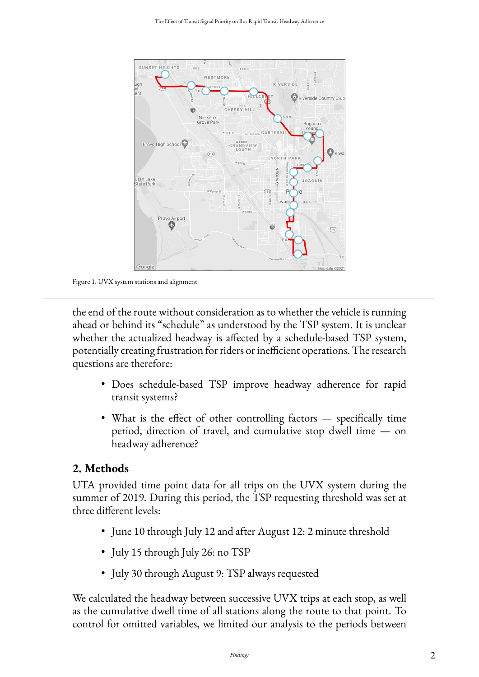<span id="page-1-0"></span>

Figure 1. UVX system stations and alignment

the end of the route without consideration as to whether the vehicle is running ahead or behind its "schedule" as understood by the TSP system. It is unclear whether the actualized headway is affected by a schedule-based TSP system, potentially creating frustration for riders or inefficient operations. The research questions are therefore:

- Does schedule-based TSP improve headway adherence for rapid transit systems?
- What is the effect of other controlling factors specifically time period, direction of travel, and cumulative stop dwell time — on headway adherence?

#### **2. Methods**

UTA provided time point data for all trips on the UVX system during the summer of 2019. During this period, the TSP requesting threshold was set at three different levels:

- June 10 through July 12 and after August 12: 2 minute threshold
- July 15 through July 26: no TSP
- July 30 through August 9: TSP always requested

We calculated the headway between successive UVX trips at each stop, as well as the cumulative dwell time of all stations along the route to that point. To control for omitted variables, we limited our analysis to the periods between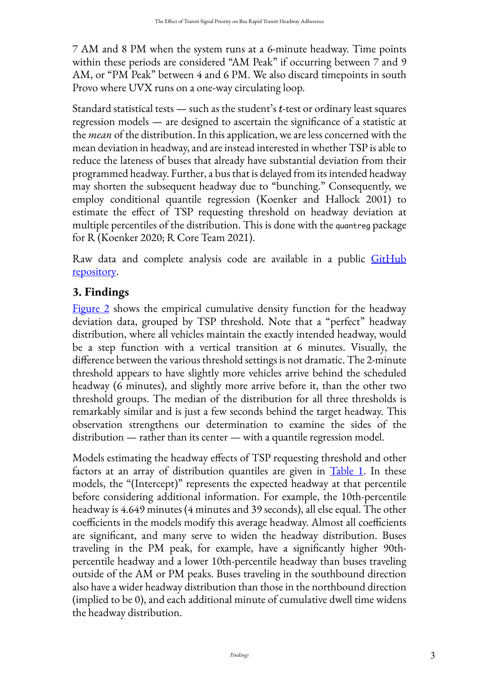7 AM and 8 PM when the system runs at a 6-minute headway. Time points within these periods are considered "AM Peak" if occurring between 7 and 9 AM, or "PM Peak" between 4 and 6 PM. We also discard timepoints in south Provo where UVX runs on a one-way circulating loop.

Standard statistical tests — such as the student's  $t$ -test or ordinary least squares regression models — are designed to ascertain the significance of a statistic at the *mean* of the distribution. In this application, we are less concerned with the mean deviation in headway, and are instead interested in whether TSP is able to reduce the lateness of buses that already have substantial deviation from their programmed headway. Further, a bus that is delayed from its intended headway may shorten the subsequent headway due to "bunching." Consequently, we employ conditional quantile regression (Koenker and Hallock 2001) to estimate the effect of TSP requesting threshold on headway deviation at multiple percentiles of the distribution. This is done with the quantreg package for R (Koenker 2020; R Core Team 2021).

Raw data and complete analysis code are available in a public [GitHub](https://github.com/byu-transpolab/uvx_headways) [repository](https://github.com/byu-transpolab/uvx_headways).

## **3. Findings**

[Figure 2](#page-3-0) shows the empirical cumulative density function for the headway deviation data, grouped by TSP threshold. Note that a "perfect" headway distribution, where all vehicles maintain the exactly intended headway, would be a step function with a vertical transition at 6 minutes. Visually, the difference between the various threshold settings is not dramatic. The 2-minute threshold appears to have slightly more vehicles arrive behind the scheduled headway (6 minutes), and slightly more arrive before it, than the other two threshold groups. The median of the distribution for all three thresholds is remarkably similar and is just a few seconds behind the target headway. This observation strengthens our determination to examine the sides of the distribution — rather than its center — with a quantile regression model.

Models estimating the headway effects of TSP requesting threshold and other factors at an array of distribution quantiles are given in  $Table 1$ . In these models, the "(Intercept)" represents the expected headway at that percentile before considering additional information. For example, the 10th-percentile headway is 4.649 minutes (4 minutes and 39 seconds), all else equal. The other coefficients in the models modify this average headway. Almost all coefficients are significant, and many serve to widen the headway distribution. Buses traveling in the PM peak, for example, have a significantly higher 90thpercentile headway and a lower 10th-percentile headway than buses traveling outside of the AM or PM peaks. Buses traveling in the southbound direction also have a wider headway distribution than those in the northbound direction (implied to be 0), and each additional minute of cumulative dwell time widens the headway distribution.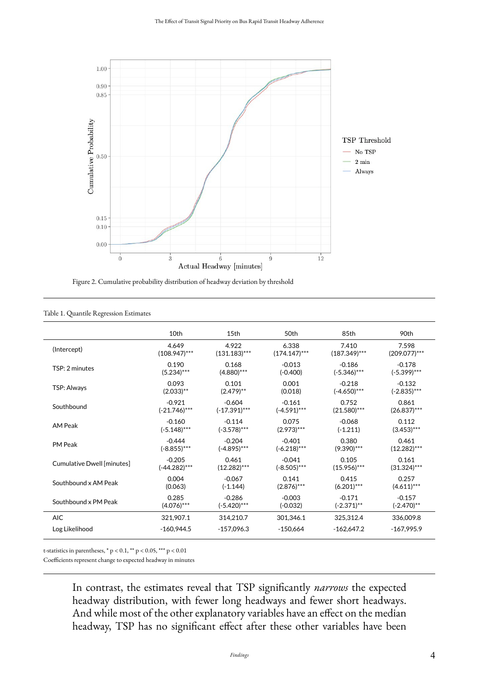<span id="page-3-0"></span>

Figure 2. Cumulative probability distribution of headway deviation by threshold

<span id="page-3-1"></span>

|                            | 10th            | 15th            | 50th            | 85th            | 90th            |
|----------------------------|-----------------|-----------------|-----------------|-----------------|-----------------|
| (Intercept)                | 4.649           | 4.922           | 6.338           | 7.410           | 7.598           |
|                            | $(108.947)$ *** | $(131.183)***$  | $(174.147)$ *** | $(187.349)$ *** | $(209.077)$ *** |
| TSP: 2 minutes             | 0.190           | 0.168           | $-0.013$        | $-0.186$        | $-0.178$        |
|                            | $(5.234)***$    | $(4.880)$ ***   | $(-0.400)$      | $(-5.346)$ ***  | $(-5.399)$ ***  |
| <b>TSP: Always</b>         | 0.093           | 0.101           | 0.001           | $-0.218$        | $-0.132$        |
|                            | $(2.033)$ **    | $(2.479)$ **    | (0.018)         | $(-4.650)$ ***  | $(-2.835)$ ***  |
| Southbound                 | $-0.921$        | $-0.604$        | $-0.161$        | 0.752           | 0.861           |
|                            | $(-21.746)$ *** | $(-17.391)$ *** | $(-4.591)$ ***  | $(21.580)$ ***  | $(26.837)$ ***  |
| <b>AM Peak</b>             | $-0.160$        | $-0.114$        | 0.075           | $-0.068$        | 0.112           |
|                            | $(-5.148)$ ***  | $(-3.578)$ ***  | $(2.973)***$    | $(-1.211)$      | $(3.453)$ ***   |
| <b>PM Peak</b>             | $-0.444$        | $-0.204$        | $-0.401$        | 0.380           | 0.461           |
|                            | $(-8.855)***$   | $(-4.895)$ ***  | $(-6.218)$ ***  | $(9.390)$ ***   | $(12.282)***$   |
| Cumulative Dwell [minutes] | $-0.205$        | 0.461           | $-0.041$        | 0.105           | 0.161           |
|                            | $(-44.282)$ *** | $(12.282)$ ***  | $(-8.505)$ ***  | $(15.956)$ ***  | $(31.324)$ ***  |
| Southbound x AM Peak       | 0.004           | $-0.067$        | 0.141           | 0.415           | 0.257           |
|                            | (0.063)         | $(-1.144)$      | $(2.876)$ ***   | $(6.201)$ ***   | $(4.611)***$    |
| Southbound x PM Peak       | 0.285           | $-0.286$        | $-0.003$        | $-0.171$        | $-0.157$        |
|                            | $(4.076)$ ***   | $(-5.420)$ ***  | $(-0.032)$      | $(-2.371)$ **   | $(-2.470)$ **   |
| <b>AIC</b>                 | 321,907.1       | 314,210.7       | 301,346.1       | 325,312.4       | 336,009.8       |
| Log Likelihood             | $-160,944.5$    | $-157,096.3$    | $-150,664$      | $-162.647.2$    | $-167,995.9$    |

#### Table 1. Quantile Regression Estimates

t-statistics in parentheses,  $* p < 0.1$ ,  $** p < 0.05$ ,  $*** p < 0.01$ 

Coefficients represent change to expected headway in minutes

In contrast, the estimates reveal that TSP significantly *narrows* the expected headway distribution, with fewer long headways and fewer short headways. And while most of the other explanatory variables have an effect on the median headway, TSP has no significant effect after these other variables have been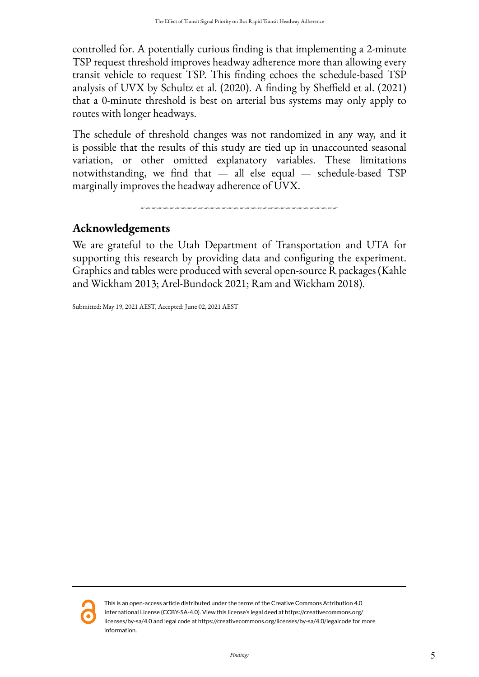controlled for. A potentially curious finding is that implementing a 2-minute TSP request threshold improves headway adherence more than allowing every transit vehicle to request TSP. This finding echoes the schedule-based TSP analysis of UVX by Schultz et al. (2020). A finding by Sheffield et al. (2021) that a 0-minute threshold is best on arterial bus systems may only apply to routes with longer headways.

The schedule of threshold changes was not randomized in any way, and it is possible that the results of this study are tied up in unaccounted seasonal variation, or other omitted explanatory variables. These limitations notwithstanding, we find that — all else equal — schedule-based TSP marginally improves the headway adherence of UVX.

### **Acknowledgements**

We are grateful to the Utah Department of Transportation and UTA for supporting this research by providing data and configuring the experiment. Graphics and tables were produced with several open-source R packages (Kahle and Wickham 2013; Arel-Bundock 2021; Ram and Wickham 2018).

Submitted: May 19, 2021 AEST, Accepted: June 02, 2021 AEST



This is an open-access article distributed under the terms of the Creative Commons Attribution 4.0 International License (CCBY-SA-4.0). View this license's legal deed at https://creativecommons.org/ licenses/by-sa/4.0 and legal code at https://creativecommons.org/licenses/by-sa/4.0/legalcode for more information.